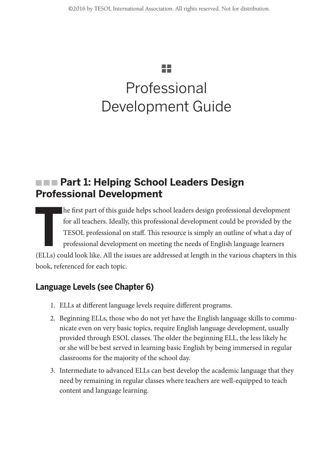# 55

# Professional Development Guide

# **Farm Part 1: Helping School Leaders Design Professional Development**

 $\frac{1}{\left( \text{EILc} \right)}$ he first part of this guide helps school leaders design professional development for all teachers. Ideally, this professional development could be provided by the TESOL professional on staff. This resource is simply an outline of what a day of professional development on meeting the needs of English language learners (ELLs) could look like. All the issues are addressed at length in the various chapters in this book, referenced for each topic.

# **Language Levels (see Chapter 6)**

- 1. ELLs at different language levels require different programs.
- 2. Beginning ELLs, those who do not yet have the English language skills to communicate even on very basic topics, require English language development, usually provided through ESOL classes. The older the beginning ELL, the less likely he or she will be best served in learning basic English by being immersed in regular classrooms for the majority of the school day.
- 3. Intermediate to advanced ELLs can best develop the academic language that they need by remaining in regular classes where teachers are well-equipped to teach content and language learning.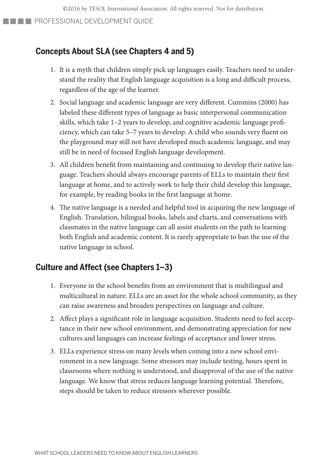©2016 by TESOL International Association. All rights reserved. Not for distribution.

**PROFESSIONAL DEVELOPMENT GUIDE** 

### **Concepts About SLA (see Chapters 4 and 5)**

- 1. It is a myth that children simply pick up languages easily. Teachers need to understand the reality that English language acquisition is a long and difficult process, regardless of the age of the learner.
- 2. Social language and academic language are very different. Cummins (2000) has labeled these different types of language as basic interpersonal communication skills, which take 1–2 years to develop, and cognitive academic language proficiency, which can take 5–7 years to develop. A child who sounds very fluent on the playground may still not have developed much academic language, and may still be in need of focused English language development.
- 3. All children benefit from maintaining and continuing to develop their native language. Teachers should always encourage parents of ELLs to maintain their first language at home, and to actively work to help their child develop this language, for example, by reading books in the first language at home.
- 4. The native language is a needed and helpful tool in acquiring the new language of English. Translation, bilingual books, labels and charts, and conversations with classmates in the native language can all assist students on the path to learning both English and academic content. It is rarely appropriate to ban the use of the native language in school.

### **Culture and Affect (see Chapters 1–3)**

- 1. Everyone in the school benefits from an environment that is multilingual and multicultural in nature. ELLs are an asset for the whole school community, as they can raise awareness and broaden perspectives on language and culture.
- 2. Affect plays a significant role in language acquisition. Students need to feel acceptance in their new school environment, and demonstrating appreciation for new cultures and languages can increase feelings of acceptance and lower stress.
- 3. ELLs experience stress on many levels when coming into a new school environment in a new language. Some stressors may include testing, hours spent in classrooms where nothing is understood, and disapproval of the use of the native language. We know that stress reduces language learning potential. Therefore, steps should be taken to reduce stressors wherever possible.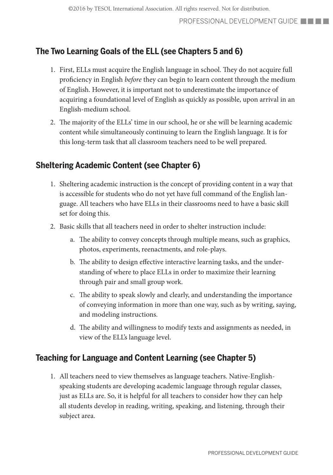## **The Two Learning Goals of the ELL (see Chapters 5 and 6)**

- 1. First, ELLs must acquire the English language in school. They do not acquire full proficiency in English *before* they can begin to learn content through the medium of English. However, it is important not to underestimate the importance of acquiring a foundational level of English as quickly as possible, upon arrival in an English-medium school.
- 2. The majority of the ELLs' time in our school, he or she will be learning academic content while simultaneously continuing to learn the English language. It is for this long-term task that all classroom teachers need to be well prepared.

### **Sheltering Academic Content (see Chapter 6)**

- 1. Sheltering academic instruction is the concept of providing content in a way that is accessible for students who do not yet have full command of the English language. All teachers who have ELLs in their classrooms need to have a basic skill set for doing this.
- 2. Basic skills that all teachers need in order to shelter instruction include:
	- a. The ability to convey concepts through multiple means, such as graphics, photos, experiments, reenactments, and role-plays.
	- b. The ability to design effective interactive learning tasks, and the understanding of where to place ELLs in order to maximize their learning through pair and small group work.
	- c. The ability to speak slowly and clearly, and understanding the importance of conveying information in more than one way, such as by writing, saying, and modeling instructions.
	- d. The ability and willingness to modify texts and assignments as needed, in view of the ELL's language level.

### **Teaching for Language and Content Learning (see Chapter 5)**

1. All teachers need to view themselves as language teachers. Native-Englishspeaking students are developing academic language through regular classes, just as ELLs are. So, it is helpful for all teachers to consider how they can help all students develop in reading, writing, speaking, and listening, through their subject area.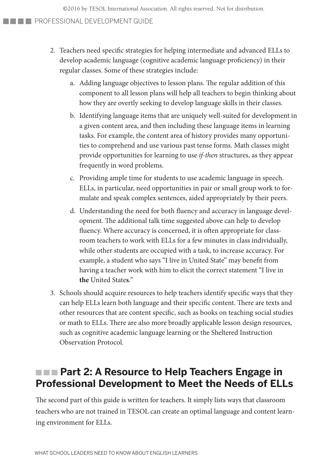©2016 by TESOL International Association. All rights reserved. Not for distribution.

#### **PROFESSIONAL DEVELOPMENT GUIDE**

- 2. Teachers need specific strategies for helping intermediate and advanced ELLs to develop academic language (cognitive academic language proficiency) in their regular classes. Some of these strategies include:
	- a. Adding language objectives to lesson plans. The regular addition of this component to all lesson plans will help all teachers to begin thinking about how they are overtly seeking to develop language skills in their classes.
	- b. Identifying language items that are uniquely well-suited for development in a given content area, and then including these language items in learning tasks. For example, the content area of history provides many opportunities to comprehend and use various past tense forms. Math classes might provide opportunities for learning to use *if-then* structures, as they appear frequently in word problems.
	- c. Providing ample time for students to use academic language in speech. ELLs, in particular, need opportunities in pair or small group work to formulate and speak complex sentences, aided appropriately by their peers.
	- d. Understanding the need for both fluency and accuracy in language development. The additional talk time suggested above can help to develop fluency. Where accuracy is concerned, it is often appropriate for classroom teachers to work with ELLs for a few minutes in class individually, while other students are occupied with a task, to increase accuracy. For example, a student who says "I live in United State" may benefit from having a teacher work with him to elicit the correct statement "I live in **the** United State**s**."
- 3. Schools should acquire resources to help teachers identify specific ways that they can help ELLs learn both language and their specific content. There are texts and other resources that are content specific, such as books on teaching social studies or math to ELLs. There are also more broadly applicable lesson design resources, such as cognitive academic language learning or the Sheltered Instruction Observation Protocol.

# **Farm Part 2: A Resource to Help Teachers Engage in Professional Development to Meet the Needs of ELLs**

The second part of this guide is written for teachers. It simply lists ways that classroom teachers who are not trained in TESOL can create an optimal language and content learning environment for ELLs.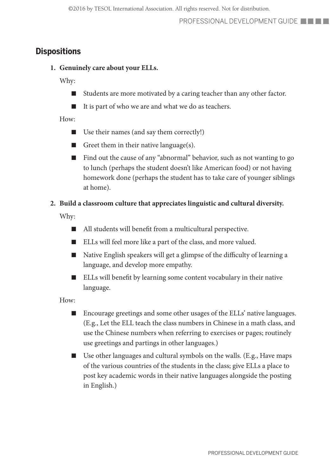### **Dispositions**

**1. Genuinely care about your ELLs.**

Why:

- Students are more motivated by a caring teacher than any other factor.
- It is part of who we are and what we do as teachers.

How:

- Use their names (and say them correctly!)
- Greet them in their native language $(s)$ .
- Find out the cause of any "abnormal" behavior, such as not wanting to go to lunch (perhaps the student doesn't like American food) or not having homework done (perhaps the student has to take care of younger siblings at home).

#### **2. Build a classroom culture that appreciates linguistic and cultural diversity.**

Why:

- All students will benefit from a multicultural perspective.
- ELLs will feel more like a part of the class, and more valued.
- Native English speakers will get a glimpse of the difficulty of learning a language, and develop more empathy.
- ELLs will benefit by learning some content vocabulary in their native language.

- Encourage greetings and some other usages of the ELLs' native languages. (E.g., Let the ELL teach the class numbers in Chinese in a math class, and use the Chinese numbers when referring to exercises or pages; routinely use greetings and partings in other languages.)
- Use other languages and cultural symbols on the walls. (E.g., Have maps of the various countries of the students in the class; give ELLs a place to post key academic words in their native languages alongside the posting in English.)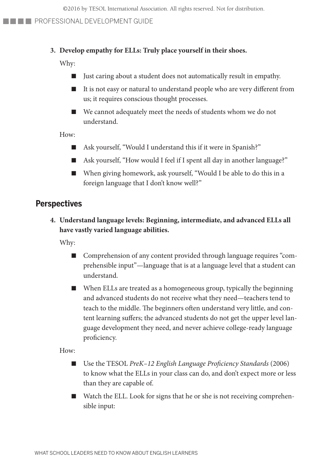#### **3. Develop empathy for ELLs: Truly place yourself in their shoes.**

Why:

- Just caring about a student does not automatically result in empathy.
- It is not easy or natural to understand people who are very different from us; it requires conscious thought processes.
- We cannot adequately meet the needs of students whom we do not understand.

How:

- Ask yourself, "Would I understand this if it were in Spanish?"
- Ask yourself, "How would I feel if I spent all day in another language?"
- When giving homework, ask yourself, "Would I be able to do this in a foreign language that I don't know well?"

#### **Perspectives**

**4. Understand language levels: Beginning, intermediate, and advanced ELLs all have vastly varied language abilities.**

Why:

- Comprehension of any content provided through language requires "comprehensible input"—language that is at a language level that a student can understand.
- When ELLs are treated as a homogeneous group, typically the beginning and advanced students do not receive what they need—teachers tend to teach to the middle. The beginners often understand very little, and content learning suffers; the advanced students do not get the upper level language development they need, and never achieve college-ready language proficiency.

- Use the TESOL *PreK–12 English Language Proficiency Standards* (2006) to know what the ELLs in your class can do, and don't expect more or less than they are capable of.
- Watch the ELL. Look for signs that he or she is not receiving comprehensible input: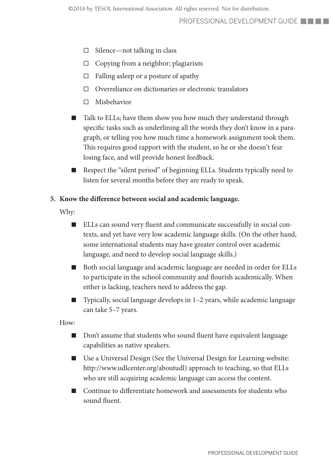- $\Box$  Silence—not talking in class
- $\Box$  Copying from a neighbor; plagiarism
- $\Box$  Falling asleep or a posture of apathy
- $\Box$  Overreliance on dictionaries or electronic translators
- □ Misbehavior
- Talk to ELLs; have them show you how much they understand through specific tasks such as underlining all the words they don't know in a paragraph, or telling you how much time a homework assignment took them. This requires good rapport with the student, so he or she doesn't fear losing face, and will provide honest feedback.
- Respect the "silent period" of beginning ELLs. Students typically need to listen for several months before they are ready to speak.

#### **5. Know the difference between social and academic language.**

Why:

- ELLs can sound very fluent and communicate successfully in social contexts, and yet have very low academic language skills. (On the other hand, some international students may have greater control over academic language, and need to develop social language skills.)
- Both social language and academic language are needed in order for ELLs to participate in the school community and flourish academically. When either is lacking, teachers need to address the gap.
- Typically, social language develops in 1–2 years, while academic language can take 5–7 years.

- Don't assume that students who sound fluent have equivalent language capabilities as native speakers.
- Use a Universal Design (See the Universal Design for Learning website: http://www.udlcenter.org/aboutudl) approach to teaching, so that ELLs who are still acquiring academic language can access the content.
- Continue to differentiate homework and assessments for students who sound fluent.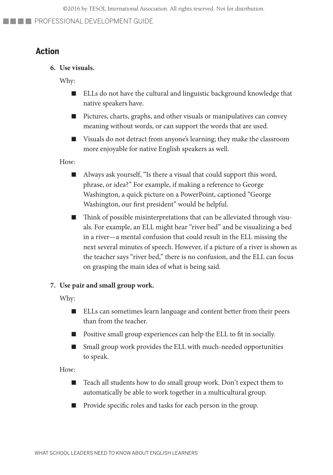### **Action**

**6. Use visuals.**

Why:

- ELLs do not have the cultural and linguistic background knowledge that native speakers have.
- Pictures, charts, graphs, and other visuals or manipulatives can convey meaning without words, or can support the words that are used.
- Visuals do not detract from anyone's learning; they make the classroom more enjoyable for native English speakers as well.

How:

- Always ask yourself, "Is there a visual that could support this word, phrase, or idea?" For example, if making a reference to George Washington, a quick picture on a PowerPoint, captioned "George Washington, our first president" would be helpful.
- Think of possible misinterpretations that can be alleviated through visuals. For example, an ELL might hear "river bed" and be visualizing a bed in a river—a mental confusion that could result in the ELL missing the next several minutes of speech. However, if a picture of a river is shown as the teacher says "river bed," there is no confusion, and the ELL can focus on grasping the main idea of what is being said.

#### **7. Use pair and small group work.**

Why:

- ELLs can sometimes learn language and content better from their peers than from the teacher.
- Positive small group experiences can help the ELL to fit in socially.
- Small group work provides the ELL with much-needed opportunities to speak.

- Teach all students how to do small group work. Don't expect them to automatically be able to work together in a multicultural group.
- Provide specific roles and tasks for each person in the group.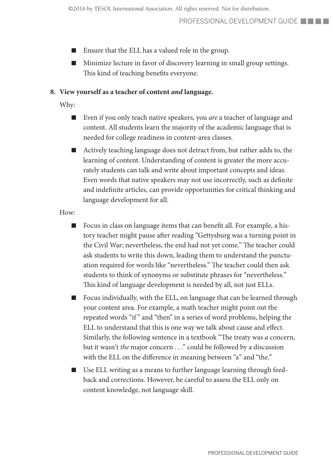- Ensure that the ELL has a valued role in the group.
- Minimize lecture in favor of discovery learning in small group settings. This kind of teaching benefits everyone.

#### **8. View yourself as a teacher of content** *and* **language.**

Why:

- Even if you only teach native speakers, you *are* a teacher of language and content. All students learn the majority of the academic language that is needed for college readiness in content-area classes.
- Actively teaching language does not detract from, but rather adds to, the learning of content. Understanding of content is greater the more accurately students can talk and write about important concepts and ideas. Even words that native speakers may not use incorrectly, such as definite and indefinite articles, can provide opportunities for critical thinking and language development for all.

- Focus in class on language items that can benefit all. For example, a history teacher might pause after reading "Gettysburg was a turning point in the Civil War; nevertheless, the end had not yet come." The teacher could ask students to write this down, leading them to understand the punctuation required for words like "nevertheless." The teacher could then ask students to think of synonyms or substitute phrases for "nevertheless." This kind of language development is needed by all, not just ELLs.
- Focus individually, with the ELL, on language that can be learned through your content area. For example, a math teacher might point out the repeated words "if " and "then" in a series of word problems, helping the ELL to understand that this is one way we talk about cause and effect. Similarly, the following sentence in a textbook "The treaty was *a* concern, but it wasn't *the* major concern . . ." could be followed by a discussion with the ELL on the difference in meaning between "a" and "the."
- Use ELL writing as a means to further language learning through feedback and corrections. However, be careful to assess the ELL only on content knowledge, not language skill.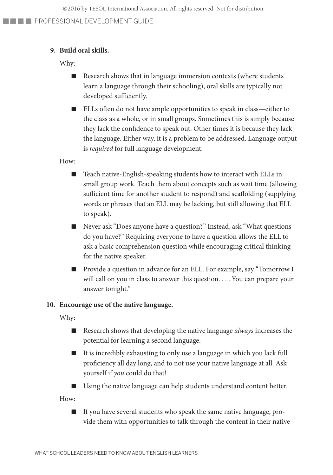#### **9. Build oral skills.**

Why:

- Research shows that in language immersion contexts (where students learn a language through their schooling), oral skills are typically not developed sufficiently.
- ELLs often do not have ample opportunities to speak in class—either to the class as a whole, or in small groups. Sometimes this is simply because they lack the confidence to speak out. Other times it is because they lack the language. Either way, it is a problem to be addressed. Language output is *required* for full language development.

How:

- Teach native-English-speaking students how to interact with ELLs in small group work. Teach them about concepts such as wait time (allowing sufficient time for another student to respond) and scaffolding (supplying words or phrases that an ELL may be lacking, but still allowing that ELL to speak)*.*
- Never ask "Does anyone have a question?" Instead, ask "What questions do you have?" Requiring everyone to have a question allows the ELL to ask a basic comprehension question while encouraging critical thinking for the native speaker.
- Provide a question in advance for an ELL. For example, say "Tomorrow I will call on you in class to answer this question. . . . You can prepare your answer tonight."

#### **10. Encourage use of the native language.**

Why:

- Research shows that developing the native language *always* increases the potential for learning a second language.
- It is incredibly exhausting to only use a language in which you lack full proficiency all day long, and to not use your native language at all. Ask yourself if *you* could do that!
- Using the native language can help students understand content better.

How:

■ If you have several students who speak the same native language, provide them with opportunities to talk through the content in their native